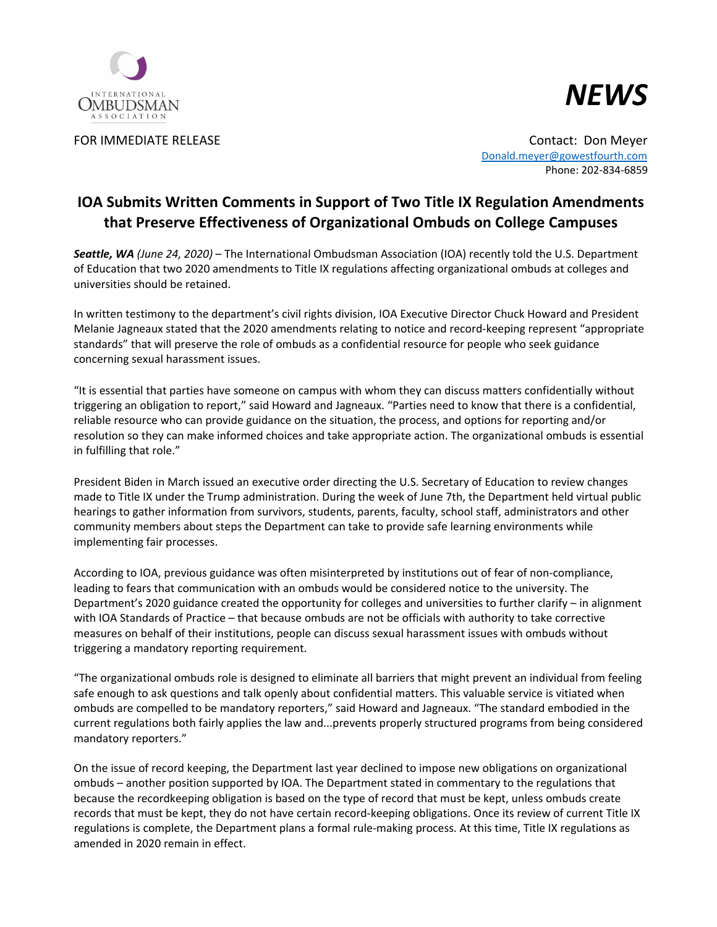



FOR IMMEDIATE RELEASE Contact: Don Meyer [Donald.meyer@gowestfourth.com](mailto:Donald.meyer@gowestfourth.com) Phone: 202-834-6859

## **IOA Submits Written Comments in Support of Two Title IX Regulation Amendments that Preserve Effectiveness of Organizational Ombuds on College Campuses**

*Seattle, WA (June 24, 2020)* – The International Ombudsman Association (IOA) recently told the U.S. Department of Education that two 2020 amendments to Title IX regulations affecting organizational ombuds at colleges and universities should be retained.

In written testimony to the department's civil rights division, IOA Executive Director Chuck Howard and President Melanie Jagneaux stated that the 2020 amendments relating to notice and record-keeping represent "appropriate standards" that will preserve the role of ombuds as a confidential resource for people who seek guidance concerning sexual harassment issues.

"It is essential that parties have someone on campus with whom they can discuss matters confidentially without triggering an obligation to report," said Howard and Jagneaux. "Parties need to know that there is a confidential, reliable resource who can provide guidance on the situation, the process, and options for reporting and/or resolution so they can make informed choices and take appropriate action. The organizational ombuds is essential in fulfilling that role."

President Biden in March issued an executive order directing the U.S. Secretary of Education to review changes made to Title IX under the Trump administration. During the week of June 7th, the Department held virtual public hearings to gather information from survivors, students, parents, faculty, school staff, administrators and other community members about steps the Department can take to provide safe learning environments while implementing fair processes.

According to IOA, previous guidance was often misinterpreted by institutions out of fear of non-compliance, leading to fears that communication with an ombuds would be considered notice to the university. The Department's 2020 guidance created the opportunity for colleges and universities to further clarify – in alignment with IOA Standards of Practice – that because ombuds are not be officials with authority to take corrective measures on behalf of their institutions, people can discuss sexual harassment issues with ombuds without triggering a mandatory reporting requirement.

"The organizational ombuds role is designed to eliminate all barriers that might prevent an individual from feeling safe enough to ask questions and talk openly about confidential matters. This valuable service is vitiated when ombuds are compelled to be mandatory reporters," said Howard and Jagneaux. "The standard embodied in the current regulations both fairly applies the law and...prevents properly structured programs from being considered mandatory reporters."

On the issue of record keeping, the Department last year declined to impose new obligations on organizational ombuds – another position supported by IOA. The Department stated in commentary to the regulations that because the recordkeeping obligation is based on the type of record that must be kept, unless ombuds create records that must be kept, they do not have certain record-keeping obligations. Once its review of current Title IX regulations is complete, the Department plans a formal rule-making process. At this time, Title IX regulations as amended in 2020 remain in effect.